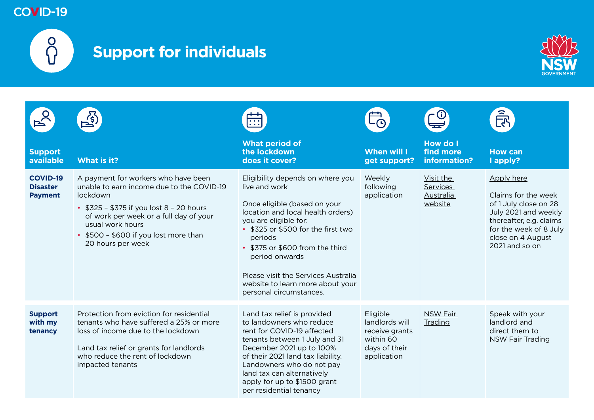

# **Support for individuals**



| <b>Support</b><br>available                          | What is it?                                                                                                                                                                                                                                                            | What period of<br>the lockdown<br>does it cover?                                                                                                                                                                                                                                                                                                            | <b>When will I</b><br>get support?                                                        | How do I<br>find more<br>information?                | <b>How can</b><br>I apply?                                                                                                                                                     |
|------------------------------------------------------|------------------------------------------------------------------------------------------------------------------------------------------------------------------------------------------------------------------------------------------------------------------------|-------------------------------------------------------------------------------------------------------------------------------------------------------------------------------------------------------------------------------------------------------------------------------------------------------------------------------------------------------------|-------------------------------------------------------------------------------------------|------------------------------------------------------|--------------------------------------------------------------------------------------------------------------------------------------------------------------------------------|
| <b>COVID-19</b><br><b>Disaster</b><br><b>Payment</b> | A payment for workers who have been<br>unable to earn income due to the COVID-19<br>lockdown<br>• $$325 - $375$ if you lost $8 - 20$ hours<br>of work per week or a full day of your<br>usual work hours<br>• \$500 - \$600 if you lost more than<br>20 hours per week | Eligibility depends on where you<br>live and work<br>Once eligible (based on your<br>location and local health orders)<br>you are eligible for:<br>• \$325 or \$500 for the first two<br>periods<br>• \$375 or \$600 from the third<br>period onwards<br>Please visit the Services Australia<br>website to learn more about your<br>personal circumstances. | Weekly<br>following<br>application                                                        | Visit the<br><b>Services</b><br>Australia<br>website | Apply here<br>Claims for the week<br>of 1 July close on 28<br>July 2021 and weekly<br>thereafter, e.g. claims<br>for the week of 8 July<br>close on 4 August<br>2021 and so on |
| <b>Support</b><br>with my<br>tenancy                 | Protection from eviction for residential<br>tenants who have suffered a 25% or more<br>loss of income due to the lockdown<br>Land tax relief or grants for landlords<br>who reduce the rent of lockdown<br>impacted tenants                                            | Land tax relief is provided<br>to landowners who reduce<br>rent for COVID-19 affected<br>tenants between 1 July and 31<br>December 2021 up to 100%<br>of their 2021 land tax liability.<br>Landowners who do not pay<br>land tax can alternatively<br>apply for up to \$1500 grant<br>per residential tenancy                                               | Eligible<br>landlords will<br>receive grants<br>within 60<br>days of their<br>application | <b>NSW Fair</b><br>Trading                           | Speak with your<br>landlord and<br>direct them to<br><b>NSW Fair Trading</b>                                                                                                   |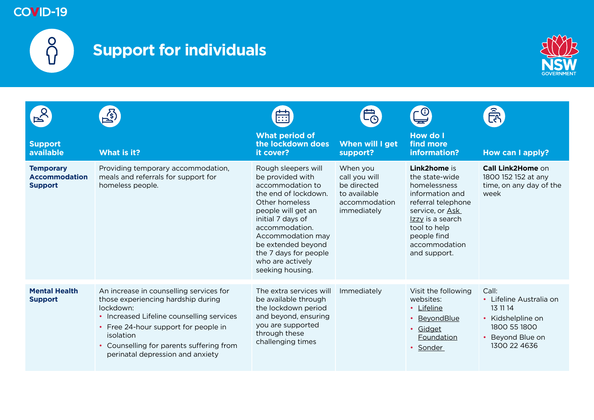

# **Support for individuals**



|                                                            |                                                                                                                                                                                                                                                                              | $\overline{\bullet}$ $\overline{\bullet}$ $\overline{\bullet}$                                                                                                                                                                                                                 |                                                                                          |                                                                                                                                                                                                | <u>हैं</u><br>रि                                                                                                    |
|------------------------------------------------------------|------------------------------------------------------------------------------------------------------------------------------------------------------------------------------------------------------------------------------------------------------------------------------|--------------------------------------------------------------------------------------------------------------------------------------------------------------------------------------------------------------------------------------------------------------------------------|------------------------------------------------------------------------------------------|------------------------------------------------------------------------------------------------------------------------------------------------------------------------------------------------|---------------------------------------------------------------------------------------------------------------------|
| <b>Support</b><br>available                                | What is it?                                                                                                                                                                                                                                                                  | <b>What period of</b><br>the lockdown does<br>it cover?                                                                                                                                                                                                                        | When will I get<br>support?                                                              | How do I<br>find more<br>information?                                                                                                                                                          | How can I apply?                                                                                                    |
| <b>Temporary</b><br><b>Accommodation</b><br><b>Support</b> | Providing temporary accommodation,<br>meals and referrals for support for<br>homeless people.                                                                                                                                                                                | Rough sleepers will<br>be provided with<br>accommodation to<br>the end of lockdown.<br>Other homeless<br>people will get an<br>initial 7 days of<br>accommodation.<br>Accommodation may<br>be extended beyond<br>the 7 days for people<br>who are actively<br>seeking housing. | When you<br>call you will<br>be directed<br>to available<br>accommodation<br>immediately | Link2home is<br>the state-wide<br>homelessness<br>information and<br>referral telephone<br>service, or Ask<br>Izzy is a search<br>tool to help<br>people find<br>accommodation<br>and support. | Call Link2Home on<br>1800 152 152 at any<br>time, on any day of the<br>week                                         |
| <b>Mental Health</b><br><b>Support</b>                     | An increase in counselling services for<br>those experiencing hardship during<br>lockdown:<br>• Increased Lifeline counselling services<br>• Free 24-hour support for people in<br>isolation<br>• Counselling for parents suffering from<br>perinatal depression and anxiety | The extra services will<br>be available through<br>the lockdown period<br>and beyond, ensuring<br>you are supported<br>through these<br>challenging times                                                                                                                      | Immediately                                                                              | Visit the following<br>websites:<br>• Lifeline<br>• BeyondBlue<br>• Gidget<br>Foundation<br>• Sonder                                                                                           | Call:<br>• Lifeline Australia on<br>13 11 14<br>• Kidshelpline on<br>1800 55 1800<br>Beyond Blue on<br>1300 22 4636 |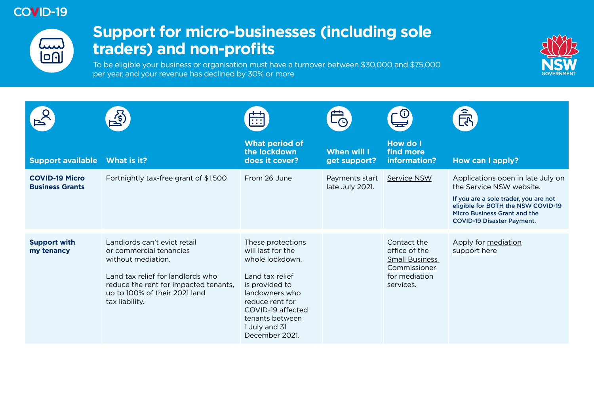

## **Support for micro-businesses (including sole traders) and non-profits**

To be eligible your business or organisation must have a turnover between \$30,000 and \$75,000 per year, and your revenue has declined by 30% or more



|                                                 | $\overrightarrow{\mathcal{Z}}$                                                                                                                                                                                 | <b>THE</b>                                                                                                                                                                                                     |                                   |                                                                                                     | <u>हैं</u><br>रि                                                                                                                                                                                                  |
|-------------------------------------------------|----------------------------------------------------------------------------------------------------------------------------------------------------------------------------------------------------------------|----------------------------------------------------------------------------------------------------------------------------------------------------------------------------------------------------------------|-----------------------------------|-----------------------------------------------------------------------------------------------------|-------------------------------------------------------------------------------------------------------------------------------------------------------------------------------------------------------------------|
| <b>Support available</b>                        | What is it?                                                                                                                                                                                                    | <b>What period of</b><br>the lockdown<br>does it cover?                                                                                                                                                        | When will I<br>get support?       | <b>How do I</b><br>find more<br>information?                                                        | How can I apply?                                                                                                                                                                                                  |
| <b>COVID-19 Micro</b><br><b>Business Grants</b> | Fortnightly tax-free grant of \$1,500                                                                                                                                                                          | From 26 June                                                                                                                                                                                                   | Payments start<br>late July 2021. | <b>Service NSW</b>                                                                                  | Applications open in late July on<br>the Service NSW website.<br>If you are a sole trader, you are not<br>eligible for BOTH the NSW COVID-19<br>Micro Business Grant and the<br><b>COVID-19 Disaster Payment.</b> |
| <b>Support with</b><br>my tenancy               | Landlords can't evict retail<br>or commercial tenancies<br>without mediation.<br>Land tax relief for landlords who<br>reduce the rent for impacted tenants,<br>up to 100% of their 2021 land<br>tax liability. | These protections<br>will last for the<br>whole lockdown.<br>Land tax relief<br>is provided to<br>landowners who<br>reduce rent for<br>COVID-19 affected<br>tenants between<br>1 July and 31<br>December 2021. |                                   | Contact the<br>office of the<br><b>Small Business</b><br>Commissioner<br>for mediation<br>services. | Apply for mediation<br>support here                                                                                                                                                                               |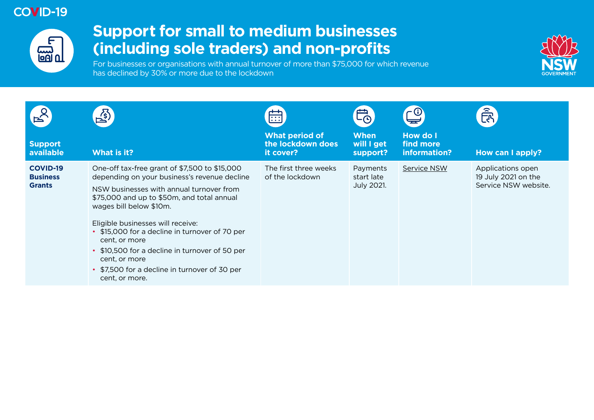

# **Support for small to medium businesses (including sole traders) and non-profits**

For businesses or organisations with annual turnover of more than \$75,000 for which revenue has declined by 30% or more due to the lockdown



|                                                     | $\mathbb{E}^{(n)}$                                                                                                                                                                                                                                                                                                                                                                                                                                               | 曲                                                       | 的                                           |                                              | <u>हिप</u>                                                       |
|-----------------------------------------------------|------------------------------------------------------------------------------------------------------------------------------------------------------------------------------------------------------------------------------------------------------------------------------------------------------------------------------------------------------------------------------------------------------------------------------------------------------------------|---------------------------------------------------------|---------------------------------------------|----------------------------------------------|------------------------------------------------------------------|
| <b>Support</b><br>available                         | What is it?                                                                                                                                                                                                                                                                                                                                                                                                                                                      | <b>What period of</b><br>the lockdown does<br>it cover? | <b>When</b><br>will I get<br>support?       | <b>How do I</b><br>find more<br>information? | How can I apply?                                                 |
| <b>COVID-19</b><br><b>Business</b><br><b>Grants</b> | One-off tax-free grant of \$7,500 to \$15,000<br>depending on your business's revenue decline<br>NSW businesses with annual turnover from<br>\$75,000 and up to \$50m, and total annual<br>wages bill below \$10m.<br>Eligible businesses will receive:<br>• \$15,000 for a decline in turnover of 70 per<br>cent, or more<br>• \$10,500 for a decline in turnover of 50 per<br>cent, or more<br>• \$7,500 for a decline in turnover of 30 per<br>cent, or more. | The first three weeks<br>of the lockdown                | Payments<br>start late<br><b>July 2021.</b> | <b>Service NSW</b>                           | Applications open<br>19 July 2021 on the<br>Service NSW website. |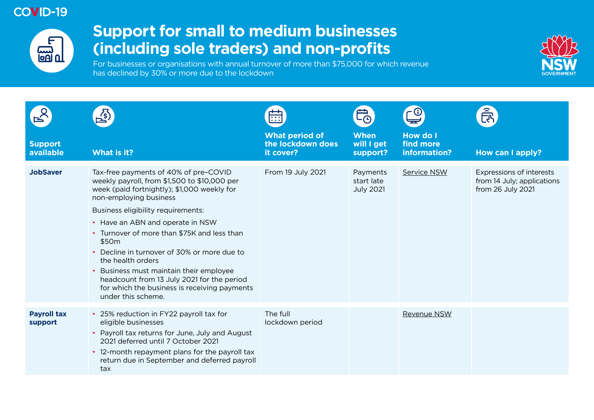

# **Support for small to medium businesses (including sole traders) and non-profits**

For businesses or organisations with annual turnover of more than \$75,000 for which revenue has declined by 30% or more due to the lockdown



|                               | $\mathbf{r}_\mathrm{S}$                                                                                                                                                                                                                                                                                                                                                                                                                                                                                                                         | िः                                                      |                                            |                                              |                                                                             |
|-------------------------------|-------------------------------------------------------------------------------------------------------------------------------------------------------------------------------------------------------------------------------------------------------------------------------------------------------------------------------------------------------------------------------------------------------------------------------------------------------------------------------------------------------------------------------------------------|---------------------------------------------------------|--------------------------------------------|----------------------------------------------|-----------------------------------------------------------------------------|
| <b>Support</b><br>available   | <b>What is it?</b>                                                                                                                                                                                                                                                                                                                                                                                                                                                                                                                              | <b>What period of</b><br>the lockdown does<br>it cover? | <b>When</b><br>will I get<br>support?      | <b>How do I</b><br>find more<br>information? | How can I apply?                                                            |
| <b>JobSaver</b>               | Tax-free payments of 40% of pre-COVID<br>weekly payroll, from \$1,500 to \$10,000 per<br>week (paid fortnightly); \$1,000 weekly for<br>non-employing business<br>Business eligibility requirements:<br>• Have an ABN and operate in NSW<br>• Turnover of more than \$75K and less than<br>\$50 <sub>m</sub><br>• Decline in turnover of 30% or more due to<br>the health orders<br>• Business must maintain their employee<br>headcount from 13 July 2021 for the period<br>for which the business is receiving payments<br>under this scheme. | From 19 July 2021                                       | Payments<br>start late<br><b>July 2021</b> | Service NSW                                  | Expressions of interests<br>from 14 July; applications<br>from 26 July 2021 |
| <b>Payroll tax</b><br>support | • 25% reduction in FY22 payroll tax for<br>eligible businesses<br>• Payroll tax returns for June, July and August<br>2021 deferred until 7 October 2021<br>• 12-month repayment plans for the payroll tax<br>return due in September and deferred payroll<br>tax                                                                                                                                                                                                                                                                                | The full<br>lockdown period                             |                                            | <b>Revenue NSW</b>                           |                                                                             |